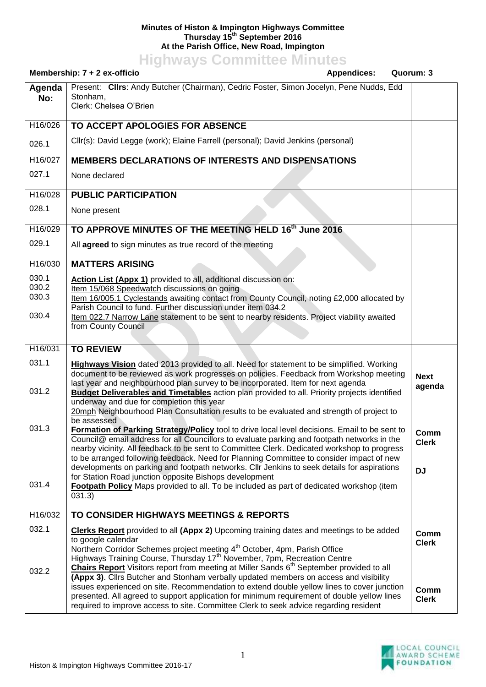## **Minutes of Histon & Impington Highways Committee Thursday 15th September 2016 At the Parish Office, New Road, Impington**

**Highways Committee Minutes**

| Membership: 7 + 2 ex-officio<br><b>Appendices:</b><br>Quorum: 3 |                                                                                                                                                                                                                                                                                                                                                                                                                                                                                                                                                                                                                                                                       |                                   |
|-----------------------------------------------------------------|-----------------------------------------------------------------------------------------------------------------------------------------------------------------------------------------------------------------------------------------------------------------------------------------------------------------------------------------------------------------------------------------------------------------------------------------------------------------------------------------------------------------------------------------------------------------------------------------------------------------------------------------------------------------------|-----------------------------------|
| Agenda<br>No:                                                   | Present: Clirs: Andy Butcher (Chairman), Cedric Foster, Simon Jocelyn, Pene Nudds, Edd<br>Stonham,<br>Clerk: Chelsea O'Brien                                                                                                                                                                                                                                                                                                                                                                                                                                                                                                                                          |                                   |
| H16/026                                                         | TO ACCEPT APOLOGIES FOR ABSENCE                                                                                                                                                                                                                                                                                                                                                                                                                                                                                                                                                                                                                                       |                                   |
| 026.1                                                           | Cllr(s): David Legge (work); Elaine Farrell (personal); David Jenkins (personal)                                                                                                                                                                                                                                                                                                                                                                                                                                                                                                                                                                                      |                                   |
| H16/027                                                         | <b>MEMBERS DECLARATIONS OF INTERESTS AND DISPENSATIONS</b>                                                                                                                                                                                                                                                                                                                                                                                                                                                                                                                                                                                                            |                                   |
| 027.1                                                           | None declared                                                                                                                                                                                                                                                                                                                                                                                                                                                                                                                                                                                                                                                         |                                   |
| H16/028                                                         | <b>PUBLIC PARTICIPATION</b>                                                                                                                                                                                                                                                                                                                                                                                                                                                                                                                                                                                                                                           |                                   |
| 028.1                                                           | None present                                                                                                                                                                                                                                                                                                                                                                                                                                                                                                                                                                                                                                                          |                                   |
| H16/029                                                         | TO APPROVE MINUTES OF THE MEETING HELD 16th June 2016                                                                                                                                                                                                                                                                                                                                                                                                                                                                                                                                                                                                                 |                                   |
| 029.1                                                           | All agreed to sign minutes as true record of the meeting                                                                                                                                                                                                                                                                                                                                                                                                                                                                                                                                                                                                              |                                   |
| H16/030                                                         | <b>MATTERS ARISING</b>                                                                                                                                                                                                                                                                                                                                                                                                                                                                                                                                                                                                                                                |                                   |
| 030.1<br>030.2<br>030.3                                         | Action List (Appx 1) provided to all, additional discussion on:<br>Item 15/068 Speedwatch discussions on going<br>Item 16/005.1 Cyclestands awaiting contact from County Council, noting £2,000 allocated by<br>Parish Council to fund. Further discussion under item 034.2                                                                                                                                                                                                                                                                                                                                                                                           |                                   |
| 030.4                                                           | Item 022.7 Narrow Lane statement to be sent to nearby residents. Project viability awaited<br>from County Council                                                                                                                                                                                                                                                                                                                                                                                                                                                                                                                                                     |                                   |
| H16/031                                                         | <b>TO REVIEW</b>                                                                                                                                                                                                                                                                                                                                                                                                                                                                                                                                                                                                                                                      |                                   |
| 031.1<br>031.2                                                  | <b>Highways Vision</b> dated 2013 provided to all. Need for statement to be simplified. Working<br>document to be reviewed as work progresses on policies. Feedback from Workshop meeting<br>last year and neighbourhood plan survey to be incorporated. Item for next agenda<br><b>Budget Deliverables and Timetables</b> action plan provided to all. Priority projects identified<br>underway and due for completion this year<br>20mph Neighbourhood Plan Consultation results to be evaluated and strength of project to                                                                                                                                         | <b>Next</b><br>agenda             |
| 031.3<br>031.4                                                  | be assessed<br>Formation of Parking Strategy/Policy tool to drive local level decisions. Email to be sent to<br>Council@ email address for all Councillors to evaluate parking and footpath networks in the<br>nearby vicinity. All feedback to be sent to Committee Clerk. Dedicated workshop to progress<br>to be arranged following feedback. Need for Planning Committee to consider impact of new<br>developments on parking and footpath networks. Cllr Jenkins to seek details for aspirations<br>for Station Road junction opposite Bishops development<br>Footpath Policy Maps provided to all. To be included as part of dedicated workshop (item<br>031.3) | Comm<br><b>Clerk</b><br><b>DJ</b> |
| H16/032                                                         | TO CONSIDER HIGHWAYS MEETINGS & REPORTS                                                                                                                                                                                                                                                                                                                                                                                                                                                                                                                                                                                                                               |                                   |
| 032.1                                                           | <b>Clerks Report</b> provided to all (Appx 2) Upcoming training dates and meetings to be added<br>to google calendar<br>Northern Corridor Schemes project meeting 4 <sup>th</sup> October, 4pm, Parish Office<br>Highways Training Course, Thursday 17 <sup>th</sup> November, 7pm, Recreation Centre<br>Chairs Report Visitors report from meeting at Miller Sands 6 <sup>th</sup> September provided to all                                                                                                                                                                                                                                                         | Comm<br><b>Clerk</b>              |
| 032.2                                                           | (Appx 3). Clirs Butcher and Stonham verbally updated members on access and visibility<br>issues experienced on site. Recommendation to extend double yellow lines to cover junction<br>presented. All agreed to support application for minimum requirement of double yellow lines<br>required to improve access to site. Committee Clerk to seek advice regarding resident                                                                                                                                                                                                                                                                                           | Comm<br><b>Clerk</b>              |

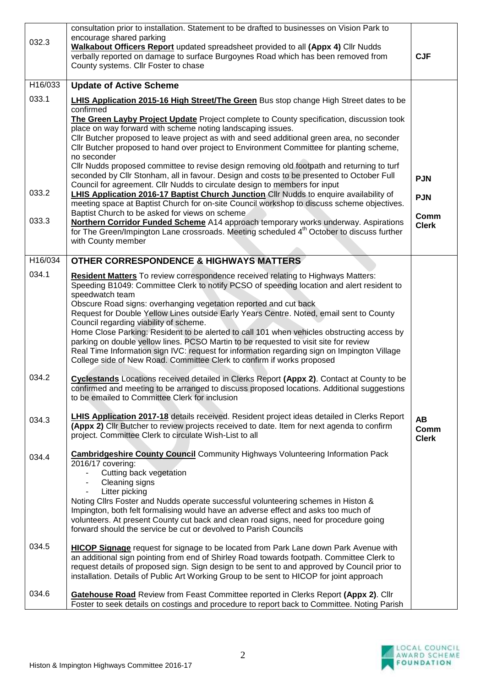| 032.3   | consultation prior to installation. Statement to be drafted to businesses on Vision Park to<br>encourage shared parking<br><b>Walkabout Officers Report</b> updated spreadsheet provided to all (Appx 4) Cllr Nudds<br>verbally reported on damage to surface Burgoynes Road which has been removed from<br>County systems. Cllr Foster to chase                                                                                                                                                                                                                                                                                                                                                                                                                         | <b>CJF</b>                 |
|---------|--------------------------------------------------------------------------------------------------------------------------------------------------------------------------------------------------------------------------------------------------------------------------------------------------------------------------------------------------------------------------------------------------------------------------------------------------------------------------------------------------------------------------------------------------------------------------------------------------------------------------------------------------------------------------------------------------------------------------------------------------------------------------|----------------------------|
| H16/033 | <b>Update of Active Scheme</b>                                                                                                                                                                                                                                                                                                                                                                                                                                                                                                                                                                                                                                                                                                                                           |                            |
| 033.1   | <b>LHIS Application 2015-16 High Street/The Green</b> Bus stop change High Street dates to be<br>confirmed                                                                                                                                                                                                                                                                                                                                                                                                                                                                                                                                                                                                                                                               |                            |
|         | The Green Layby Project Update Project complete to County specification, discussion took<br>place on way forward with scheme noting landscaping issues.<br>Cllr Butcher proposed to leave project as with and seed additional green area, no seconder<br>Cllr Butcher proposed to hand over project to Environment Committee for planting scheme,<br>no seconder                                                                                                                                                                                                                                                                                                                                                                                                         |                            |
|         | CIIr Nudds proposed committee to revise design removing old footpath and returning to turf<br>seconded by Cllr Stonham, all in favour. Design and costs to be presented to October Full                                                                                                                                                                                                                                                                                                                                                                                                                                                                                                                                                                                  |                            |
| 033.2   | Council for agreement. Cllr Nudds to circulate design to members for input<br>LHIS Application 2016-17 Baptist Church Junction Cllr Nudds to enquire availability of                                                                                                                                                                                                                                                                                                                                                                                                                                                                                                                                                                                                     | <b>PJN</b><br><b>PJN</b>   |
|         | meeting space at Baptist Church for on-site Council workshop to discuss scheme objectives.<br>Baptist Church to be asked for views on scheme                                                                                                                                                                                                                                                                                                                                                                                                                                                                                                                                                                                                                             | Comm                       |
| 033.3   | Northern Corridor Funded Scheme A14 approach temporary works underway. Aspirations<br>for The Green/Impington Lane crossroads. Meeting scheduled 4 <sup>th</sup> October to discuss further<br>with County member                                                                                                                                                                                                                                                                                                                                                                                                                                                                                                                                                        | <b>Clerk</b>               |
| H16/034 | <b>OTHER CORRESPONDENCE &amp; HIGHWAYS MATTERS</b>                                                                                                                                                                                                                                                                                                                                                                                                                                                                                                                                                                                                                                                                                                                       |                            |
| 034.1   | Resident Matters To review correspondence received relating to Highways Matters:<br>Speeding B1049: Committee Clerk to notify PCSO of speeding location and alert resident to<br>speedwatch team<br>Obscure Road signs: overhanging vegetation reported and cut back<br>Request for Double Yellow Lines outside Early Years Centre. Noted, email sent to County<br>Council regarding viability of scheme.<br>Home Close Parking: Resident to be alerted to call 101 when vehicles obstructing access by<br>parking on double yellow lines. PCSO Martin to be requested to visit site for review<br>Real Time Information sign IVC: request for information regarding sign on Impington Village<br>College side of New Road. Committee Clerk to confirm if works proposed |                            |
| 034.2   | <b>Cyclestands</b> Locations received detailed in Clerks Report (Appx 2). Contact at County to be<br>confirmed and meeting to be arranged to discuss proposed locations. Additional suggestions<br>to be emailed to Committee Clerk for inclusion                                                                                                                                                                                                                                                                                                                                                                                                                                                                                                                        |                            |
| 034.3   | <b>LHIS Application 2017-18</b> details received. Resident project ideas detailed in Clerks Report<br>(Appx 2) Cllr Butcher to review projects received to date. Item for next agenda to confirm<br>project. Committee Clerk to circulate Wish-List to all                                                                                                                                                                                                                                                                                                                                                                                                                                                                                                               | AB<br>Comm<br><b>Clerk</b> |
| 034.4   | <b>Cambridgeshire County Council</b> Community Highways Volunteering Information Pack<br>2016/17 covering:<br>Cutting back vegetation<br>Cleaning signs<br>Litter picking<br>Noting Clirs Foster and Nudds operate successful volunteering schemes in Histon &<br>Impington, both felt formalising would have an adverse effect and asks too much of<br>volunteers. At present County cut back and clean road signs, need for procedure going<br>forward should the service be cut or devolved to Parish Councils                                                                                                                                                                                                                                                        |                            |
| 034.5   | <b>HICOP Signage</b> request for signage to be located from Park Lane down Park Avenue with<br>an additional sign pointing from end of Shirley Road towards footpath. Committee Clerk to<br>request details of proposed sign. Sign design to be sent to and approved by Council prior to<br>installation. Details of Public Art Working Group to be sent to HICOP for joint approach                                                                                                                                                                                                                                                                                                                                                                                     |                            |
| 034.6   | <b>Gatehouse Road</b> Review from Feast Committee reported in Clerks Report (Appx 2). Cllr<br>Foster to seek details on costings and procedure to report back to Committee. Noting Parish                                                                                                                                                                                                                                                                                                                                                                                                                                                                                                                                                                                |                            |